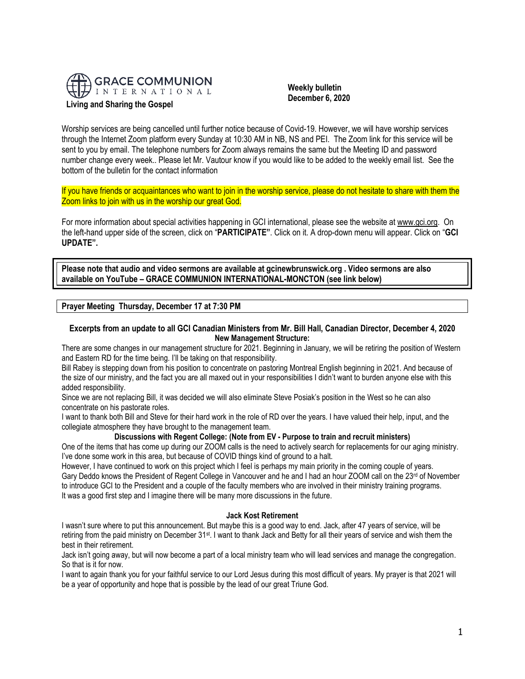

 **Weekly bulletin December 6, 2020**

Worship services are being cancelled until further notice because of Covid-19. However, we will have worship services through the Internet Zoom platform every Sunday at 10:30 AM in NB, NS and PEI. The Zoom link for this service will be sent to you by email. The telephone numbers for Zoom always remains the same but the Meeting ID and password number change every week.. Please let Mr. Vautour know if you would like to be added to the weekly email list. See the bottom of the bulletin for the contact information

If you have friends or acquaintances who want to join in the worship service, please do not hesitate to share with them the Zoom links to join with us in the worship our great God.

For more information about special activities happening in GCI international, please see the website a[t www.gci.org.](http://www.gci.org/) On the left-hand upper side of the screen, click on "**PARTICIPATE"**. Click on it. A drop-down menu will appear. Click on "**GCI UPDATE".**

**Please note that audio and video sermons are available at gcinewbrunswick.org . Video sermons are also available on YouTube – GRACE COMMUNION INTERNATIONAL-MONCTON (see link below)** 

**Prayer Meeting Thursday, December 17 at 7:30 PM** 

# **Excerpts from an update to all GCI Canadian Ministers from Mr. Bill Hall, Canadian Director, December 4, 2020 New Management Structure:**

There are some changes in our management structure for 2021. Beginning in January, we will be retiring the position of Western and Eastern RD for the time being. I'll be taking on that responsibility.

Bill Rabey is stepping down from his position to concentrate on pastoring Montreal English beginning in 2021. And because of the size of our ministry, and the fact you are all maxed out in your responsibilities I didn't want to burden anyone else with this added responsibility.

Since we are not replacing Bill, it was decided we will also eliminate Steve Posiak's position in the West so he can also concentrate on his pastorate roles.

I want to thank both Bill and Steve for their hard work in the role of RD over the years. I have valued their help, input, and the collegiate atmosphere they have brought to the management team.

# **Discussions with Regent College: (Note from EV - Purpose to train and recruit ministers)**

One of the items that has come up during our ZOOM calls is the need to actively search for replacements for our aging ministry. I've done some work in this area, but because of COVID things kind of ground to a halt.

However, I have continued to work on this project which I feel is perhaps my main priority in the coming couple of years. Gary Deddo knows the President of Regent College in Vancouver and he and I had an hour ZOOM call on the 23<sup>rd</sup> of November to introduce GCI to the President and a couple of the faculty members who are involved in their ministry training programs. It was a good first step and I imagine there will be many more discussions in the future.

# **Jack Kost Retirement**

I wasn't sure where to put this announcement. But maybe this is a good way to end. Jack, after 47 years of service, will be retiring from the paid ministry on December 31st. I want to thank Jack and Betty for all their years of service and wish them the best in their retirement.

Jack isn't going away, but will now become a part of a local ministry team who will lead services and manage the congregation. So that is it for now.

I want to again thank you for your faithful service to our Lord Jesus during this most difficult of years. My prayer is that 2021 will be a year of opportunity and hope that is possible by the lead of our great Triune God.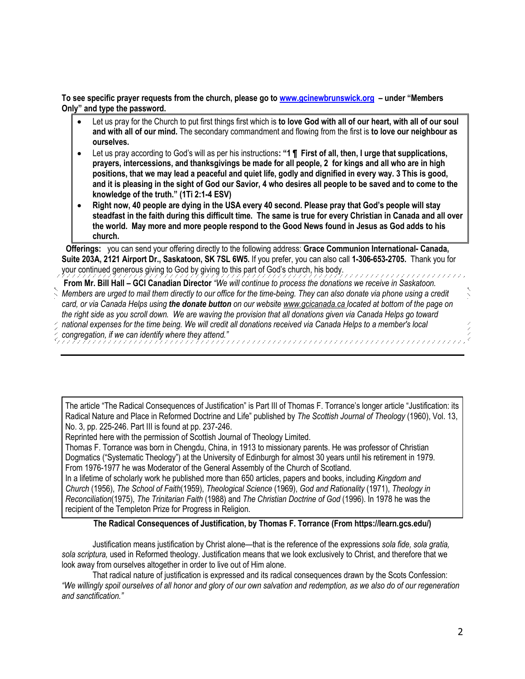**To see specific prayer requests from the church, please go to [www.gcinewbrunswick.org](http://www.gcinewbrunswick.org/) – under "Members Only" and type the password.**

- Let us pray for the Church to put first things first which is **to love God with all of our heart, with all of our soul and with all of our mind.** The secondary commandment and flowing from the first is **to love our neighbour as ourselves.**
- Let us pray according to God's will as per his instructions**: "1 ¶ First of all, then, I urge that supplications, prayers, intercessions, and thanksgivings be made for all people, 2 for kings and all who are in high positions, that we may lead a peaceful and quiet life, godly and dignified in every way. 3 This is good, and it is pleasing in the sight of God our Savior, 4 who desires all people to be saved and to come to the knowledge of the truth." (1Ti 2:1-4 ESV)**
- **Right now, 40 people are dying in the USA every 40 second. Please pray that God's people will stay steadfast in the faith during this difficult time. The same is true for every Christian in Canada and all over the world. May more and more people respond to the Good News found in Jesus as God adds to his church.**

**Offerings:** you can send your offering directly to the following address: **Grace Communion International- Canada, Suite 203A, 2121 Airport Dr., Saskatoon, SK 7SL 6W5.** If you prefer, you can also call **1-306-653-2705.** Thank you for your continued generous giving to God by giving to this part of God's church, his body.

**From Mr. Bill Hall – GCI Canadian Director** *"We will continue to process the donations we receive in Saskatoon. Members are urged to mail them directly to our office for the time-being. They can also donate via phone using a credit card, or via Canada Helps using the donate button on our websit[e www.gcicanada.ca](https://eur03.safelinks.protection.outlook.com/?url=http%3A%2F%2Fwww.gcicanada.ca%2F&data=02%7C01%7C%7C9fd93e29c2b44509e5a008d7caa78fdb%7C84df9e7fe9f640afb435aaaaaaaaaaaa%7C1%7C0%7C637200693331983394&sdata=VAGy4Q%2BxbhHuYaeEiDz%2FQyicT%2FoiY4Ir9kc8w5yHRPs%3D&reserved=0) located at bottom of the page on the right side as you scroll down. We are waving the provision that all donations given via Canada Helps go toward national expenses for the time being. We will credit all donations received via Canada Helps to a member's local congregation, if we can identify where they attend."*

The article "The Radical Consequences of Justification" is Part III of Thomas F. Torrance's longer article "Justification: its Radical Nature and Place in Reformed Doctrine and Life" published by *The Scottish Journal of Theology* (1960), Vol. 13, No. 3, pp. 225-246. Part III is found at pp. 237-246.

Reprinted here with the permission of Scottish Journal of Theology Limited.

Thomas F. Torrance was born in Chengdu, China, in 1913 to missionary parents. He was professor of Christian Dogmatics ("Systematic Theology") at the University of Edinburgh for almost 30 years until his retirement in 1979. From 1976-1977 he was Moderator of the General Assembly of the Church of Scotland.

In a lifetime of scholarly work he published more than 650 articles, papers and books, including *Kingdom and Church* (1956), *The School of Faith*(1959), *Theological Science* (1969), *God and Rationality* (1971), *Theology in Reconciliation*(1975), *The Trinitarian Faith* (1988) and *The Christian Doctrine of God* (1996). In 1978 he was the recipient of the Templeton Prize for Progress in Religion.

# **The Radical Consequences of Justification, by Thomas F. Torrance (From https://learn.gcs.edu/)**

Justification means justification by Christ alone—that is the reference of the expressions *sola fide, sola gratia, sola scriptura,* used in Reformed theology. Justification means that we look exclusively to Christ, and therefore that we look away from ourselves altogether in order to live out of Him alone.

That radical nature of justification is expressed and its radical consequences drawn by the Scots Confession: *"We willingly spoil ourselves of all honor and glory of our own salvation and redemption, as we also do of our regeneration and sanctification."*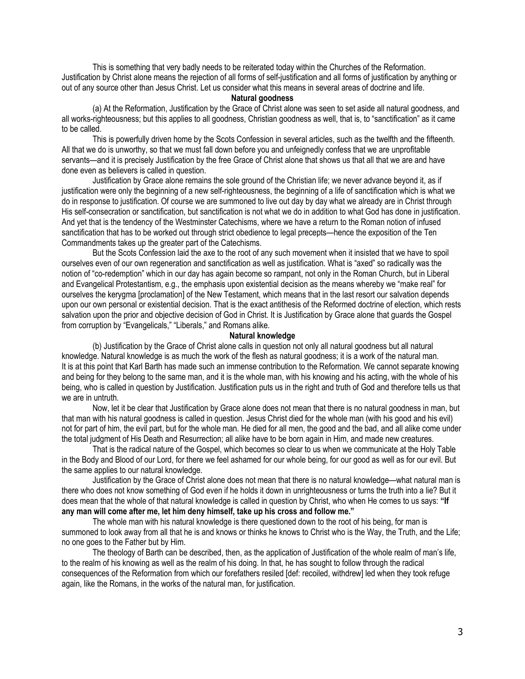This is something that very badly needs to be reiterated today within the Churches of the Reformation. Justification by Christ alone means the rejection of all forms of self-justification and all forms of justification by anything or out of any source other than Jesus Christ. Let us consider what this means in several areas of doctrine and life.

## **Natural goodness**

(a) At the Reformation, Justification by the Grace of Christ alone was seen to set aside all natural goodness, and all works-righteousness; but this applies to all goodness, Christian goodness as well, that is, to "sanctification" as it came to be called.

This is powerfully driven home by the Scots Confession in several articles, such as the twelfth and the fifteenth. All that we do is unworthy, so that we must fall down before you and unfeignedly confess that we are unprofitable servants—and it is precisely Justification by the free Grace of Christ alone that shows us that all that we are and have done even as believers is called in question.

Justification by Grace alone remains the sole ground of the Christian life; we never advance beyond it, as if justification were only the beginning of a new self-righteousness, the beginning of a life of sanctification which is what we do in response to justification. Of course we are summoned to live out day by day what we already are in Christ through His self-consecration or sanctification, but sanctification is not what we do in addition to what God has done in justification. And yet that is the tendency of the Westminster Catechisms, where we have a return to the Roman notion of infused sanctification that has to be worked out through strict obedience to legal precepts—hence the exposition of the Ten Commandments takes up the greater part of the Catechisms.

But the Scots Confession laid the axe to the root of any such movement when it insisted that we have to spoil ourselves even of our own regeneration and sanctification as well as justification. What is "axed" so radically was the notion of "co-redemption" which in our day has again become so rampant, not only in the Roman Church, but in Liberal and Evangelical Protestantism, e.g., the emphasis upon existential decision as the means whereby we "make real" for ourselves the kerygma [proclamation] of the New Testament, which means that in the last resort our salvation depends upon our own personal or existential decision. That is the exact antithesis of the Reformed doctrine of election, which rests salvation upon the prior and objective decision of God in Christ. It is Justification by Grace alone that guards the Gospel from corruption by "Evangelicals," "Liberals," and Romans alike.

#### **Natural knowledge**

(b) Justification by the Grace of Christ alone calls in question not only all natural goodness but all natural knowledge. Natural knowledge is as much the work of the flesh as natural goodness; it is a work of the natural man. It is at this point that Karl Barth has made such an immense contribution to the Reformation. We cannot separate knowing and being for they belong to the same man, and it is the whole man, with his knowing and his acting, with the whole of his being, who is called in question by Justification. Justification puts us in the right and truth of God and therefore tells us that we are in untruth.

Now, let it be clear that Justification by Grace alone does not mean that there is no natural goodness in man, but that man with his natural goodness is called in question. Jesus Christ died for the whole man (with his good and his evil) not for part of him, the evil part, but for the whole man. He died for all men, the good and the bad, and all alike come under the total judgment of His Death and Resurrection; all alike have to be born again in Him, and made new creatures.

That is the radical nature of the Gospel, which becomes so clear to us when we communicate at the Holy Table in the Body and Blood of our Lord, for there we feel ashamed for our whole being, for our good as well as for our evil. But the same applies to our natural knowledge.

Justification by the Grace of Christ alone does not mean that there is no natural knowledge—what natural man is there who does not know something of God even if he holds it down in unrighteousness or turns the truth into a lie? But it does mean that the whole of that natural knowledge is called in question by Christ, who when He comes to us says: **"If any man will come after me, let him deny himself, take up his cross and follow me."**

The whole man with his natural knowledge is there questioned down to the root of his being, for man is summoned to look away from all that he is and knows or thinks he knows to Christ who is the Way, the Truth, and the Life; no one goes to the Father but by Him.

The theology of Barth can be described, then, as the application of Justification of the whole realm of man's life, to the realm of his knowing as well as the realm of his doing. In that, he has sought to follow through the radical consequences of the Reformation from which our forefathers resiled [def: recoiled, withdrew] led when they took refuge again, like the Romans, in the works of the natural man, for justification.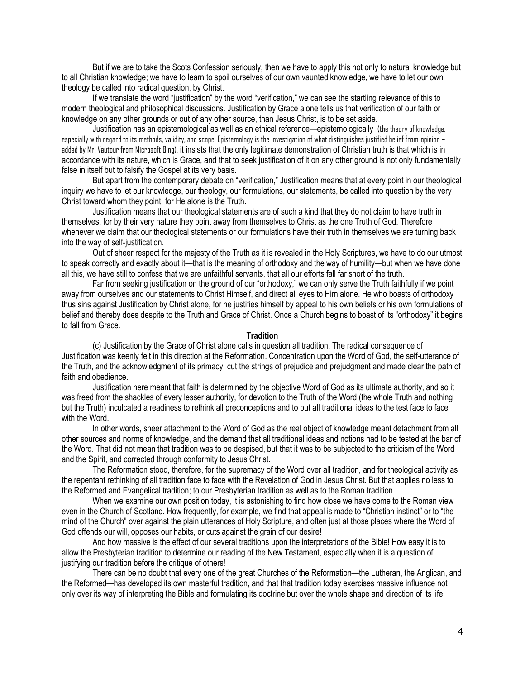But if we are to take the Scots Confession seriously, then we have to apply this not only to natural knowledge but to all Christian knowledge; we have to learn to spoil ourselves of our own vaunted knowledge, we have to let our own theology be called into radical question, by Christ.

If we translate the word "justification" by the word "verification," we can see the startling relevance of this to modern theological and philosophical discussions. Justification by Grace alone tells us that verification of our faith or knowledge on any other grounds or out of any other source, than Jesus Christ, is to be set aside.

Justification has an epistemological as well as an ethical reference—epistemologically (the theory of knowledge, especially with regard to its methods, validity, and scope. Epistemology is the investigation of what distinguishes justified belief from opinion – added by Mr. Vautour from Microsoft Bing). it insists that the only legitimate demonstration of Christian truth is that which is in accordance with its nature, which is Grace, and that to seek justification of it on any other ground is not only fundamentally false in itself but to falsify the Gospel at its very basis.

But apart from the contemporary debate on "verification," Justification means that at every point in our theological inquiry we have to let our knowledge, our theology, our formulations, our statements, be called into question by the very Christ toward whom they point, for He alone is the Truth.

Justification means that our theological statements are of such a kind that they do not claim to have truth in themselves, for by their very nature they point away from themselves to Christ as the one Truth of God. Therefore whenever we claim that our theological statements or our formulations have their truth in themselves we are turning back into the way of self-justification.

Out of sheer respect for the majesty of the Truth as it is revealed in the Holy Scriptures, we have to do our utmost to speak correctly and exactly about it—that is the meaning of orthodoxy and the way of humility—but when we have done all this, we have still to confess that we are unfaithful servants, that all our efforts fall far short of the truth.

Far from seeking justification on the ground of our "orthodoxy," we can only serve the Truth faithfully if we point away from ourselves and our statements to Christ Himself, and direct all eyes to Him alone. He who boasts of orthodoxy thus sins against Justification by Christ alone, for he justifies himself by appeal to his own beliefs or his own formulations of belief and thereby does despite to the Truth and Grace of Christ. Once a Church begins to boast of its "orthodoxy" it begins to fall from Grace.

## **Tradition**

(c) Justification by the Grace of Christ alone calls in question all tradition. The radical consequence of Justification was keenly felt in this direction at the Reformation. Concentration upon the Word of God, the self-utterance of the Truth, and the acknowledgment of its primacy, cut the strings of prejudice and prejudgment and made clear the path of faith and obedience.

Justification here meant that faith is determined by the objective Word of God as its ultimate authority, and so it was freed from the shackles of every lesser authority, for devotion to the Truth of the Word (the whole Truth and nothing but the Truth) inculcated a readiness to rethink all preconceptions and to put all traditional ideas to the test face to face with the Word.

In other words, sheer attachment to the Word of God as the real object of knowledge meant detachment from all other sources and norms of knowledge, and the demand that all traditional ideas and notions had to be tested at the bar of the Word. That did not mean that tradition was to be despised, but that it was to be subjected to the criticism of the Word and the Spirit, and corrected through conformity to Jesus Christ.

The Reformation stood, therefore, for the supremacy of the Word over all tradition, and for theological activity as the repentant rethinking of all tradition face to face with the Revelation of God in Jesus Christ. But that applies no less to the Reformed and Evangelical tradition; to our Presbyterian tradition as well as to the Roman tradition.

When we examine our own position today, it is astonishing to find how close we have come to the Roman view even in the Church of Scotland. How frequently, for example, we find that appeal is made to "Christian instinct" or to "the mind of the Church" over against the plain utterances of Holy Scripture, and often just at those places where the Word of God offends our will, opposes our habits, or cuts against the grain of our desire!

And how massive is the effect of our several traditions upon the interpretations of the Bible! How easy it is to allow the Presbyterian tradition to determine our reading of the New Testament, especially when it is a question of justifying our tradition before the critique of others!

There can be no doubt that every one of the great Churches of the Reformation—the Lutheran, the Anglican, and the Reformed—has developed its own masterful tradition, and that that tradition today exercises massive influence not only over its way of interpreting the Bible and formulating its doctrine but over the whole shape and direction of its life.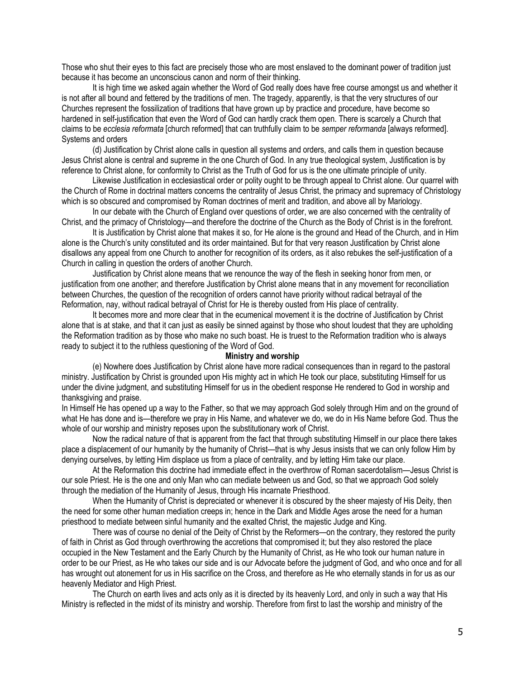Those who shut their eyes to this fact are precisely those who are most enslaved to the dominant power of tradition just because it has become an unconscious canon and norm of their thinking.

It is high time we asked again whether the Word of God really does have free course amongst us and whether it is not after all bound and fettered by the traditions of men. The tragedy, apparently, is that the very structures of our Churches represent the fossilization of traditions that have grown up by practice and procedure, have become so hardened in self-justification that even the Word of God can hardly crack them open. There is scarcely a Church that claims to be *ecclesia reformata* [church reformed] that can truthfully claim to be *semper reformanda* [always reformed]. Systems and orders

(d) Justification by Christ alone calls in question all systems and orders, and calls them in question because Jesus Christ alone is central and supreme in the one Church of God. In any true theological system, Justification is by reference to Christ alone, for conformity to Christ as the Truth of God for us is the one ultimate principle of unity.

Likewise Justification in ecclesiastical order or polity ought to be through appeal to Christ alone. Our quarrel with the Church of Rome in doctrinal matters concerns the centrality of Jesus Christ, the primacy and supremacy of Christology which is so obscured and compromised by Roman doctrines of merit and tradition, and above all by Mariology.

In our debate with the Church of England over questions of order, we are also concerned with the centrality of Christ, and the primacy of Christology—and therefore the doctrine of the Church as the Body of Christ is in the forefront.

It is Justification by Christ alone that makes it so, for He alone is the ground and Head of the Church, and in Him alone is the Church's unity constituted and its order maintained. But for that very reason Justification by Christ alone disallows any appeal from one Church to another for recognition of its orders, as it also rebukes the self-justification of a Church in calling in question the orders of another Church.

Justification by Christ alone means that we renounce the way of the flesh in seeking honor from men, or justification from one another; and therefore Justification by Christ alone means that in any movement for reconciliation between Churches, the question of the recognition of orders cannot have priority without radical betrayal of the Reformation, nay, without radical betrayal of Christ for He is thereby ousted from His place of centrality.

It becomes more and more clear that in the ecumenical movement it is the doctrine of Justification by Christ alone that is at stake, and that it can just as easily be sinned against by those who shout loudest that they are upholding the Reformation tradition as by those who make no such boast. He is truest to the Reformation tradition who is always ready to subject it to the ruthless questioning of the Word of God.

#### **Ministry and worship**

(e) Nowhere does Justification by Christ alone have more radical consequences than in regard to the pastoral ministry. Justification by Christ is grounded upon His mighty act in which He took our place, substituting Himself for us under the divine judgment, and substituting Himself for us in the obedient response He rendered to God in worship and thanksgiving and praise.

In Himself He has opened up a way to the Father, so that we may approach God solely through Him and on the ground of what He has done and is—therefore we pray in His Name, and whatever we do, we do in His Name before God. Thus the whole of our worship and ministry reposes upon the substitutionary work of Christ.

Now the radical nature of that is apparent from the fact that through substituting Himself in our place there takes place a displacement of our humanity by the humanity of Christ—that is why Jesus insists that we can only follow Him by denying ourselves, by letting Him displace us from a place of centrality, and by letting Him take our place.

At the Reformation this doctrine had immediate effect in the overthrow of Roman sacerdotalism—Jesus Christ is our sole Priest. He is the one and only Man who can mediate between us and God, so that we approach God solely through the mediation of the Humanity of Jesus, through His incarnate Priesthood.

When the Humanity of Christ is depreciated or whenever it is obscured by the sheer majesty of His Deity, then the need for some other human mediation creeps in; hence in the Dark and Middle Ages arose the need for a human priesthood to mediate between sinful humanity and the exalted Christ, the majestic Judge and King.

There was of course no denial of the Deity of Christ by the Reformers—on the contrary, they restored the purity of faith in Christ as God through overthrowing the accretions that compromised it; but they also restored the place occupied in the New Testament and the Early Church by the Humanity of Christ, as He who took our human nature in order to be our Priest, as He who takes our side and is our Advocate before the judgment of God, and who once and for all has wrought out atonement for us in His sacrifice on the Cross, and therefore as He who eternally stands in for us as our heavenly Mediator and High Priest.

The Church on earth lives and acts only as it is directed by its heavenly Lord, and only in such a way that His Ministry is reflected in the midst of its ministry and worship. Therefore from first to last the worship and ministry of the